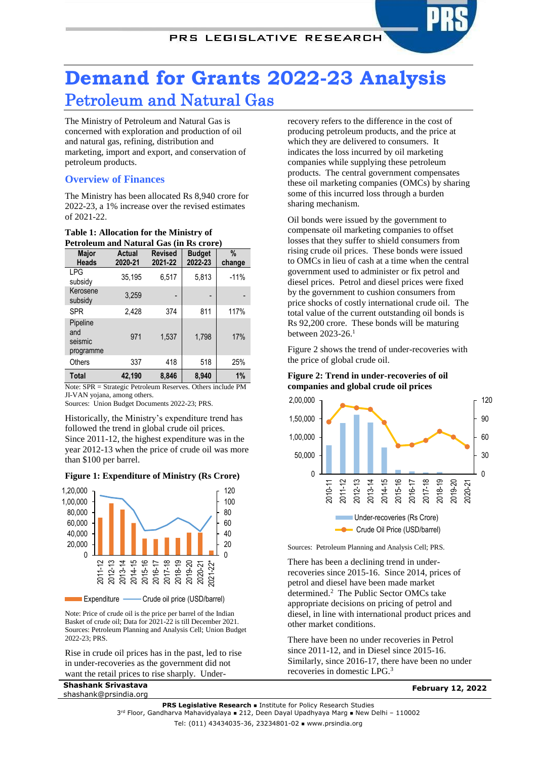# **Demand for Grants 2022-23 Analysis** Petroleum and Natural Gas

The Ministry of Petroleum and Natural Gas is concerned with exploration and production of oil and natural gas, refining, distribution and marketing, import and export, and conservation of petroleum products.

# **Overview of Finances**

The Ministry has been allocated Rs 8,940 crore for 2022-23, a 1% increase over the revised estimates of 2021-22.

| Petroleum and Natural Gas (in Rs crore) |                                 |                           |                          |                             |  |  |  |
|-----------------------------------------|---------------------------------|---------------------------|--------------------------|-----------------------------|--|--|--|
| <b>Major</b><br><b>Heads</b>            | Actual<br>2020-21               | <b>Revised</b><br>2021-22 | <b>Budget</b><br>2022-23 | $\%$<br>change              |  |  |  |
| <b>LPG</b><br>subsidy                   | 35,195                          | 6,517                     | 5,813                    | $-11%$                      |  |  |  |
| Kerosene<br>subsidy                     | 3,259                           |                           |                          |                             |  |  |  |
| <b>SPR</b>                              | 2,428                           | 374                       | 811                      | 117%                        |  |  |  |
| Pipeline<br>and<br>seismic<br>programme | 971                             | 1,537                     | 1,798                    | 17%                         |  |  |  |
| Others                                  | 337                             | 418                       | 518                      | 25%                         |  |  |  |
| <b>Total</b>                            | 42,190                          | 8,846                     | 8,940                    | 1%                          |  |  |  |
| $\mathbf{r}$<br>CDD<br>$\sim$ $\sim$    | $\cdot$ $\cdot$ $\cdot$ $\cdot$ | n.                        | $\sim$                   | $1 \quad 1$<br>$\mathbf{r}$ |  |  |  |

#### **Table 1: Allocation for the Ministry of Petroleum and Natural Gas (in Rs crore)**

Note: SPR = Strategic Petroleum Reserves. Others include PM JI-VAN yojana, among others.

Sources: Union Budget Documents 2022-23; PRS.

Historically, the Ministry's expenditure trend has followed the trend in global crude oil prices. Since 2011-12, the highest expenditure was in the year 2012-13 when the price of crude oil was more than \$100 per barrel.

## **Figure 1: Expenditure of Ministry (Rs Crore)**



**Expenditure - Crude oil price (USD/barrel)** 

Note: Price of crude oil is the price per barrel of the Indian Basket of crude oil; Data for 2021-22 is till December 2021. Sources: Petroleum Planning and Analysis Cell; Union Budget 2022-23; PRS.

Rise in crude oil prices has in the past, led to rise in under-recoveries as the government did not want the retail prices to rise sharply. Under-

**Shashank Srivastava** shashank@prsindia.org recovery refers to the difference in the cost of producing petroleum products, and the price at which they are delivered to consumers. It indicates the loss incurred by oil marketing companies while supplying these petroleum products. The central government compensates these oil marketing companies (OMCs) by sharing some of this incurred loss through a burden sharing mechanism.

Oil bonds were issued by the government to compensate oil marketing companies to offset losses that they suffer to shield consumers from rising crude oil prices. These bonds were issued to OMCs in lieu of cash at a time when the central government used to administer or fix petrol and diesel prices. Petrol and diesel prices were fixed by the government to cushion consumers from price shocks of costly international crude oil. The total value of the current outstanding oil bonds is Rs 92,200 crore. These bonds will be maturing between 2023-26.<sup>1</sup>

Figure 2 shows the trend of under-recoveries with the price of global crude oil.

## **Figure 2: Trend in under-recoveries of oil companies and global crude oil prices**



Sources: Petroleum Planning and Analysis Cell; PRS.

There has been a declining trend in underrecoveries since 2015-16. Since 2014, prices of petrol and diesel have been made market determined.<sup>2</sup> The Public Sector OMCs take appropriate decisions on pricing of petrol and diesel, in line with international product prices and other market conditions.

There have been no under recoveries in Petrol since 2011-12, and in Diesel since 2015-16. Similarly, since 2016-17, there have been no under recoveries in domestic LPG.<sup>3</sup>

<span id="page-0-0"></span>**February 12, 2022**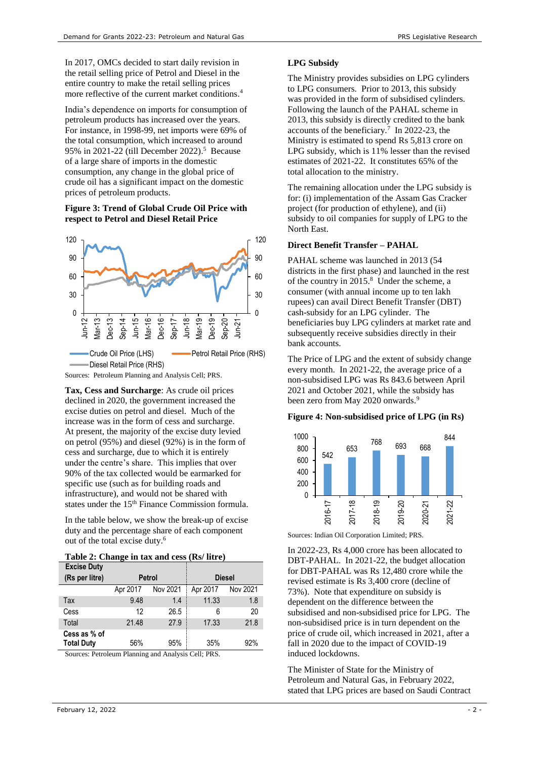In 2017, OMCs decided to start daily revision in the retail selling price of Petrol and Diesel in the entire country to make the retail selling prices more reflective of the current market conditions. 4

India's dependence on imports for consumption of petroleum products has increased over the years. For instance, in 1998-99, net imports were 69% of the total consumption, which increased to around 95% in 2021-22 (till December 2022). 5 Because of a large share of imports in the domestic consumption, any change in the global price of crude oil has a significant impact on the domestic prices of petroleum products.

## **Figure 3: Trend of Global Crude Oil Price with respect to Petrol and Diesel Retail Price**



**Tax, Cess and Surcharge**: As crude oil prices declined in 2020, the government increased the excise duties on petrol and diesel. Much of the increase was in the form of cess and surcharge. At present, the majority of the excise duty levied on petrol (95%) and diesel (92%) is in the form of cess and surcharge, due to which it is entirely under the centre's share. This implies that over 90% of the tax collected would be earmarked for specific use (such as for building roads and infrastructure), and would not be shared with states under the 15th Finance Commission formula.

In the table below, we show the break-up of excise duty and the percentage share of each component out of the total excise duty. 6

| <b>Excise Duty</b>                |               |          |               |          |
|-----------------------------------|---------------|----------|---------------|----------|
| (Rs per litre)                    | <b>Petrol</b> |          | <b>Diesel</b> |          |
|                                   | Apr 2017      | Nov 2021 | Apr 2017      | Nov 2021 |
| Tax                               | 9.48          | 1.4      | 11.33         | 1.8      |
| Cess                              | 12            | 26.5     | 6             | 20       |
| Total                             | 21.48         | 27.9     | 17.33         | 21.8     |
| Cess as % of<br><b>Total Duty</b> | 56%           | 95%      | 35%           | 92%      |

Sources: Petroleum Planning and Analysis Cell; PRS.

## **LPG Subsidy**

The Ministry provides subsidies on LPG cylinders to LPG consumers. Prior to 2013, this subsidy was provided in the form of subsidised cylinders. Following the launch of the PAHAL scheme in 2013, this subsidy is directly credited to the bank accounts of the beneficiary.<sup>7</sup> In 2022-23, the Ministry is estimated to spend Rs 5,813 crore on LPG subsidy, which is 11% lesser than the revised estimates of 2021-22. It constitutes 65% of the total allocation to the ministry.

The remaining allocation under the LPG subsidy is for: (i) implementation of the Assam Gas Cracker project (for production of ethylene), and (ii) subsidy to oil companies for supply of LPG to the North East.

## **Direct Benefit Transfer – PAHAL**

PAHAL scheme was launched in 2013 (54 districts in the first phase) and launched in the rest of the country in 2015.<sup>8</sup> Under the scheme, a consumer (with annual income up to ten lakh rupees) can avail Direct Benefit Transfer (DBT) cash-subsidy for an LPG cylinder. The beneficiaries buy LPG cylinders at market rate and subsequently receive subsidies directly in their bank accounts.

The Price of LPG and the extent of subsidy change every month. In 2021-22, the average price of a non-subsidised LPG was Rs 843.6 between April 2021 and October 2021, while the subsidy has been zero from May 2020 onwards.<sup>9</sup>

## **Figure 4: Non-subsidised price of LPG (in Rs)**



Sources: Indian Oil Corporation Limited; PRS.

In 2022-23, Rs 4,000 crore has been allocated to DBT-PAHAL. In 2021-22, the budget allocation for DBT-PAHAL was Rs 12,480 crore while the revised estimate is Rs 3,400 crore (decline of 73%). Note that expenditure on subsidy is dependent on the difference between the subsidised and non-subsidised price for LPG. The non-subsidised price is in turn dependent on the price of crude oil, which increased in 2021, after a fall in 2020 due to the impact of COVID-19 induced lockdowns.

The Minister of State for the Ministry of Petroleum and Natural Gas, in February 2022, stated that LPG prices are based on Saudi Contract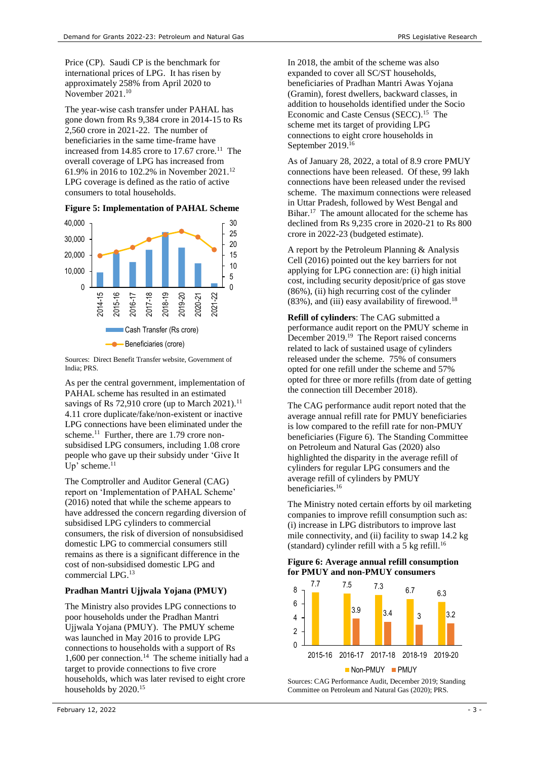Price (CP). Saudi CP is the benchmark for international prices of LPG. It has risen by approximately 258% from April 2020 to November 2021. 10

The year-wise cash transfer under PAHAL has gone down from Rs 9,384 crore in 2014-15 to Rs 2,560 crore in 2021-22. The number of beneficiaries in the same time-frame have increased from  $14.85$  crore to  $17.67$  crore.<sup>11</sup> The overall coverage of LPG has increased from 61.9% in 2016 to 102.2% in November 2021.<sup>12</sup> LPG coverage is defined as the ratio of active consumers to total households.

**Figure 5: Implementation of PAHAL Scheme**



Sources: Direct Benefit Transfer website, Government of India; PRS.

As per the central government, implementation of PAHAL scheme has resulted in an estimated savings of Rs 72,910 crore (up to March 2021).<sup>[11](#page-2-0)</sup> 4.11 crore duplicate/fake/non-existent or inactive LPG connections have been eliminated under the scheme.<sup>[11](#page-2-0)</sup> Further, there are 1.79 crore nonsubsidised LPG consumers, including 1.08 crore people who gave up their subsidy under 'Give It Up' scheme.<sup>[11](#page-2-0)</sup>

The Comptroller and Auditor General (CAG) report on 'Implementation of PAHAL Scheme' (2016) noted that while the scheme appears to have addressed the concern regarding diversion of subsidised LPG cylinders to commercial consumers, the risk of diversion of nonsubsidised domestic LPG to commercial consumers still remains as there is a significant difference in the cost of non-subsidised domestic LPG and commercial LPG.<sup>13</sup>

# **Pradhan Mantri Ujjwala Yojana (PMUY)**

<span id="page-2-1"></span>The Ministry also provides LPG connections to poor households under the Pradhan Mantri Ujjwala Yojana (PMUY). The PMUY scheme was launched in May 2016 to provide LPG connections to households with a support of Rs 1,600 per connection.<sup>14</sup> The scheme initially had a target to provide connections to five crore households, which was later revised to eight crore households by 2020. 15

In 2018, the ambit of the scheme was also expanded to cover all SC/ST households, beneficiaries of Pradhan Mantri Awas Yojana (Gramin), forest dwellers, backward classes, in addition to households identified under the Socio Economic and Caste Census (SECC). [15](#page-2-1) The scheme met its target of providing LPG connections to eight crore households in September 2019.<sup>16</sup>

<span id="page-2-2"></span><span id="page-2-0"></span>As of January 28, 2022, a total of 8.9 crore PMUY connections have been released. Of these, 99 lakh connections have been released under the revised scheme. The maximum connections were released in Uttar Pradesh, followed by West Bengal and Bihar.<sup>17</sup> The amount allocated for the scheme has declined from Rs 9,235 crore in 2020-21 to Rs 800 crore in 2022-23 (budgeted estimate).

A report by the Petroleum Planning & Analysis Cell (2016) pointed out the key barriers for not applying for LPG connection are: (i) high initial cost, including security deposit/price of gas stove (86%), (ii) high recurring cost of the cylinder  $(83\%)$ , and (iii) easy availability of firewood.<sup>18</sup>

<span id="page-2-3"></span>**Refill of cylinders**: The CAG submitted a performance audit report on the PMUY scheme in December 2019.<sup>19</sup> The Report raised concerns related to lack of sustained usage of cylinders released under the scheme. 75% of consumers opted for one refill under the scheme and 57% opted for three or more refills (from date of getting the connection till December 2018).

The CAG performance audit report noted that the average annual refill rate for PMUY beneficiaries is low compared to the refill rate for non-PMUY beneficiaries (Figure 6). The Standing Committee on Petroleum and Natural Gas (2020) also highlighted the disparity in the average refill of cylinders for regular LPG consumers and the average refill of cylinders by PMUY beneficiaries.[16](#page-2-2)

The Ministry noted certain efforts by oil marketing companies to improve refill consumption such as: (i) increase in LPG distributors to improve last mile connectivity, and (ii) facility to swap 14.2 kg (standard) cylinder refill with a 5 kg refill.[16](#page-2-2)

#### **Figure 6: Average annual refill consumption for PMUY and non-PMUY consumers**



Sources: CAG Performance Audit, December 2019; Standing Committee on Petroleum and Natural Gas (2020); PRS.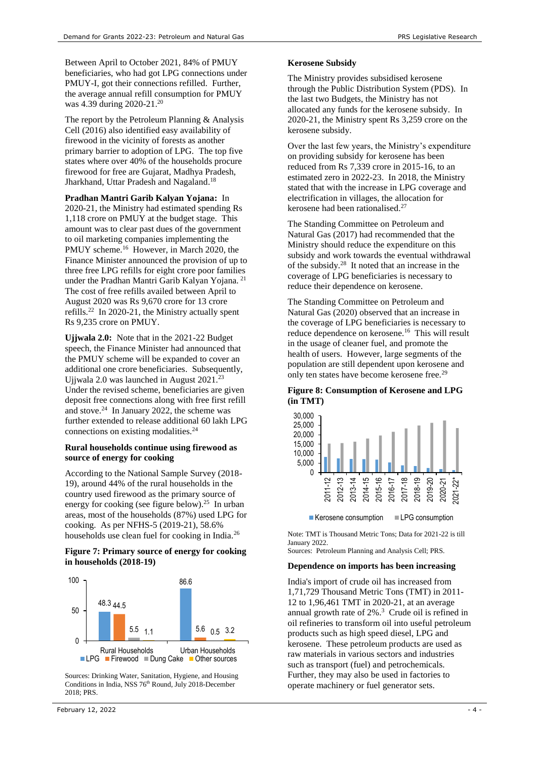Between April to October 2021, 84% of PMUY beneficiaries, who had got LPG connections under PMUY-I, got their connections refilled. Further, the average annual refill consumption for PMUY was 4.39 during 2020-21.<sup>20</sup>

The report by the Petroleum Planning & Analysis Cell (2016) also identified easy availability of firewood in the vicinity of forests as another primary barrier to adoption of LPG. The top five states where over 40% of the households procure firewood for free are Gujarat, Madhya Pradesh, Jharkhand, Uttar Pradesh and Nagaland.<sup>[18](#page-2-3)</sup>

**Pradhan Mantri Garib Kalyan Yojana:** In 2020-21, the Ministry had estimated spending Rs 1,118 crore on PMUY at the budget stage. This amount was to clear past dues of the government to oil marketing companies implementing the PMUY scheme.<sup>[16](#page-2-2)</sup> However, in March 2020, the Finance Minister announced the provision of up to three free LPG refills for eight crore poor families under the Pradhan Mantri Garib Kalyan Yojana.<sup>21</sup> The cost of free refills availed between April to August 2020 was Rs 9,670 crore for 13 crore refills.<sup>22</sup> In 2020-21, the Ministry actually spent Rs 9,235 crore on PMUY.

**Ujjwala 2.0:** Note that in the 2021-22 Budget speech, the Finance Minister had announced that the PMUY scheme will be expanded to cover an additional one crore beneficiaries. Subsequently, Ujjwala 2.0 was launched in August 2021.<sup>23</sup> Under the revised scheme, beneficiaries are given deposit free connections along with free first refill and stove. 24 In January 2022, the scheme was further extended to release additional 60 lakh LPG connections on existing modalities.[24](#page-3-0)

## <span id="page-3-0"></span>**Rural households continue using firewood as source of energy for cooking**

According to the National Sample Survey (2018- 19), around 44% of the rural households in the country used firewood as the primary source of energy for cooking (see figure below).<sup>25</sup> In urban areas, most of the households (87%) used LPG for cooking. As per NFHS-5 (2019-21), 58.6% households use clean fuel for cooking in India.<sup>26</sup>

## **Figure 7: Primary source of energy for cooking in households (2018-19)**



Sources: Drinking Water, Sanitation, Hygiene, and Housing Conditions in India, NSS 76<sup>th</sup> Round, July 2018-December 2018; PRS.

#### **Kerosene Subsidy**

The Ministry provides subsidised kerosene through the Public Distribution System (PDS). In the last two Budgets, the Ministry has not allocated any funds for the kerosene subsidy. In 2020-21, the Ministry spent Rs 3,259 crore on the kerosene subsidy.

Over the last few years, the Ministry's expenditure on providing subsidy for kerosene has been reduced from Rs 7,339 crore in 2015-16, to an estimated zero in 2022-23. In 2018, the Ministry stated that with the increase in LPG coverage and electrification in villages, the allocation for kerosene had been rationalised.<sup>27</sup>

The Standing Committee on Petroleum and Natural Gas (2017) had recommended that the Ministry should reduce the expenditure on this subsidy and work towards the eventual withdrawal of the subsidy.<sup>28</sup> It noted that an increase in the coverage of LPG beneficiaries is necessary to reduce their dependence on kerosene.

The Standing Committee on Petroleum and Natural Gas (2020) observed that an increase in the coverage of LPG beneficiaries is necessary to reduce dependence on kerosene.<sup>[16](#page-2-2)</sup> This will result in the usage of cleaner fuel, and promote the health of users. However, large segments of the population are still dependent upon kerosene and only ten states have become kerosene free.<sup>29</sup>

## **Figure 8: Consumption of Kerosene and LPG (in TMT)**



Note: TMT is Thousand Metric Tons; Data for 2021-22 is till January 2022.

Sources: Petroleum Planning and Analysis Cell; PRS.

#### **Dependence on imports has been increasing**

India's import of crude oil has increased from 1,71,729 Thousand Metric Tons (TMT) in 2011- 12 to 1,96,461 TMT in 2020-21, at an average annual growth rate of 2%. 3 Crude oil is refined in oil refineries to transform oil into useful petroleum products such as high speed diesel, LPG and kerosene. These petroleum products are used as raw materials in various sectors and industries such as transport (fuel) and petrochemicals. Further, they may also be used in factories to operate machinery or fuel generator sets.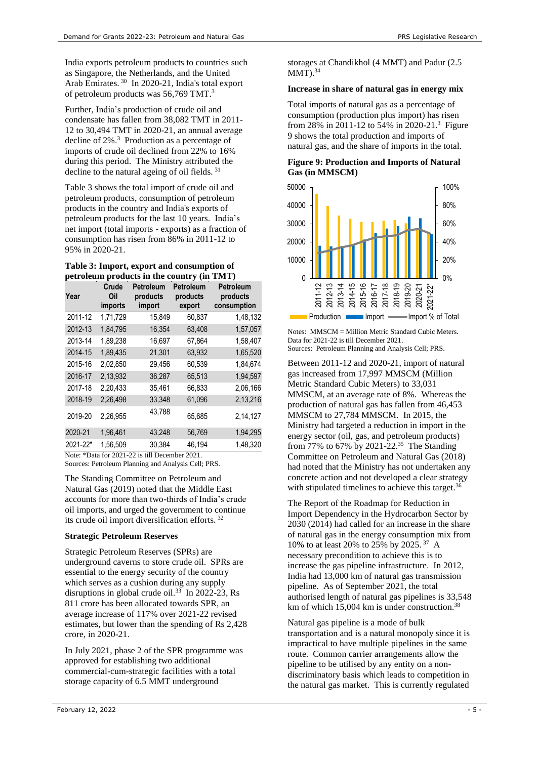India exports petroleum products to countries such as Singapore, the Netherlands, and the United Arab Emirates.<sup>30</sup> In 2020-21, India's total export of petroleum products was 56,769 TMT[.](#page-0-0)<sup>3</sup>

Further, India's production of crude oil and condensate has fallen from 38,082 TMT in 2011- 12 to 30,494 TMT in 2020-21, an annual average decline of 2%. 3 Production as a percentage of imports of crude oil declined from 22% to 16% during this period. The Ministry attributed the decline to the natural ageing of oil fields. <sup>31</sup>

Table 3 shows the total import of crude oil and petroleum products, consumption of petroleum products in the country and India's exports of petroleum products for the last 10 years. India's net import (total imports - exports) as a fraction of consumption has risen from 86% in 2011-12 to 95% in 2020-21.

#### **Table 3: Import, export and consumption of petroleum products in the country (in TMT)**

| Year                                           | Crude<br>Oil<br>imports | Petroleum<br>products<br>import | Petroleum<br>products<br>export | <b>Petroleum</b><br>products<br>consumption |  |  |
|------------------------------------------------|-------------------------|---------------------------------|---------------------------------|---------------------------------------------|--|--|
| 2011-12                                        | 1,71,729                | 15,849                          | 60,837                          | 1,48,132                                    |  |  |
| 2012-13                                        | 1,84,795                | 16,354                          | 63,408                          | 1,57,057                                    |  |  |
| 2013-14                                        | 1,89,238                | 16,697                          | 67,864                          | 1,58,407                                    |  |  |
| 2014-15                                        | 1,89,435                | 21,301                          | 63,932                          | 1,65,520                                    |  |  |
| 2015-16                                        | 2,02,850                | 29,456                          | 60,539                          | 1,84,674                                    |  |  |
| 2016-17                                        | 2,13,932                | 36,287                          | 65,513                          | 1,94,597                                    |  |  |
| 2017-18                                        | 2.20.433                | 35,461                          | 66,833                          | 2,06,166                                    |  |  |
| 2018-19                                        | 2,26,498                | 33,348                          | 61,096                          | 2,13,216                                    |  |  |
| 2019-20                                        | 2,26,955                | 43,788                          | 65,685                          | 2,14,127                                    |  |  |
| 2020-21                                        | 1,96,461                | 43,248                          | 56,769                          | 1,94,295                                    |  |  |
| 2021-22*                                       | 1,56,509                | 30,384                          | 46,194                          | 1,48,320                                    |  |  |
| Note: *Data for 2021-22 is till December 2021. |                         |                                 |                                 |                                             |  |  |

Sources: Petroleum Planning and Analysis Cell; PRS.

The Standing Committee on Petroleum and Natural Gas (2019) noted that the Middle East accounts for more than two-thirds of India's crude oil imports, and urged the government to continue its crude oil import diversification efforts. <sup>32</sup>

# **Strategic Petroleum Reserves**

Strategic Petroleum Reserves (SPRs) are underground caverns to store crude oil. SPRs are essential to the energy security of the country which serves as a cushion during any supply disruptions in global crude oil. $33$  In 2022-23, Rs 811 crore has been allocated towards SPR, an average increase of 117% over 2021-22 revised estimates, but lower than the spending of Rs 2,428 crore, in 2020-21.

In July 2021, phase 2 of the SPR programme was approved for establishing two additional commercial-cum-strategic facilities with a total storage capacity of 6.5 MMT underground

storages at Chandikhol (4 MMT) and Padur (2.5  $MMT$ ).<sup>34</sup>

# **Increase in share of natural gas in energy mix**

Total imports of natural gas as a percentage of consumption (production plus import) has risen from 28% in 2011-12 to 54% in 2020-21[.](#page-0-0) <sup>3</sup> Figure 9 shows the total production and imports of natural gas, and the share of imports in the total.

# **Figure 9: Production and Imports of Natural Gas (in MMSCM)**



Notes: MMSCM = Million Metric Standard Cubic Meters. Data for 2021-22 is till December 2021. Sources: Petroleum Planning and Analysis Cell; PRS.

Between 2011-12 and 2020-21, import of natural gas increased from 17,997 MMSCM (Million Metric Standard Cubic Meters) to 33,031 MMSCM, at an average rate of 8%. Whereas the production of natural gas has fallen from 46,453 MMSCM to 27,784 MMSCM. In 2015, the Ministry had targeted a reduction in import in the energy sector (oil, gas, and petroleum products) from 77% to 67% by 2021-22.<sup>35</sup> The Standing Committee on Petroleum and Natural Gas (2018) had noted that the Ministry has not undertaken any concrete action and not developed a clear strategy with stipulated timelines to achieve this target. $36$ 

The Report of the Roadmap for Reduction in Import Dependency in the Hydrocarbon Sector by 2030 (2014) had called for an increase in the share of natural gas in the energy consumption mix from 10% to at least 20% to 25% by 2025. <sup>37</sup> A necessary precondition to achieve this is to increase the gas pipeline infrastructure. In 2012, India had 13,000 km of natural gas transmission pipeline. As of September 2021, the total authorised length of natural gas pipelines is 33,548 km of which 15,004 km is under construction.<sup>38</sup>

Natural gas pipeline is a mode of bulk transportation and is a natural monopoly since it is impractical to have multiple pipelines in the same route. Common carrier arrangements allow the pipeline to be utilised by any entity on a nondiscriminatory basis which leads to competition in the natural gas market. This is currently regulated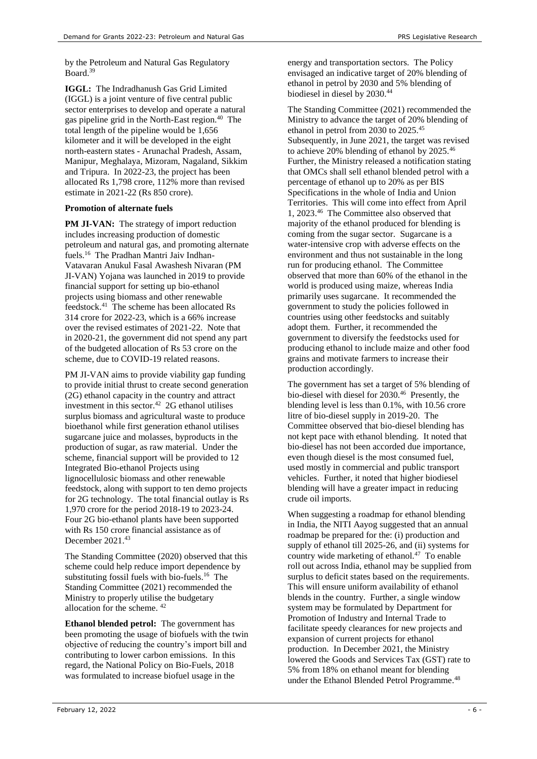by the Petroleum and Natural Gas Regulatory Board.<sup>39</sup>

**IGGL:** The Indradhanush Gas Grid Limited (IGGL) is a joint venture of five central public sector enterprises to develop and operate a natural gas pipeline grid in the North-East region. 40 The total length of the pipeline would be 1,656 kilometer and it will be developed in the eight north-eastern states - Arunachal Pradesh, Assam, Manipur, Meghalaya, Mizoram, Nagaland, Sikkim and Tripura. In 2022-23, the project has been allocated Rs 1,798 crore, 112% more than revised estimate in 2021-22 (Rs 850 crore).

#### **Promotion of alternate fuels**

**PM JI-VAN:** The strategy of import reduction includes increasing production of domestic petroleum and natural gas, and promoting alternate fuels.<sup>[16](#page-2-2)</sup> The Pradhan Mantri Jaiv Indhan-Vatavaran Anukul Fasal Awashesh Nivaran (PM JI-VAN) Yojana was launched in 2019 to provide financial support for setting up bio-ethanol projects using biomass and other renewable feedstock.<sup>41</sup> The scheme has been allocated Rs 314 crore for 2022-23, which is a 66% increase over the revised estimates of 2021-22. Note that in 2020-21, the government did not spend any part of the budgeted allocation of Rs 53 crore on the scheme, due to COVID-19 related reasons.

<span id="page-5-0"></span>PM JI-VAN aims to provide viability gap funding to provide initial thrust to create second generation (2G) ethanol capacity in the country and attract investment in this sector. 42 2G ethanol utilises surplus biomass and agricultural waste to produce bioethanol while first generation ethanol utilises sugarcane juice and molasses, byproducts in the production of sugar, as raw material. Under the scheme, financial support will be provided to 12 Integrated Bio-ethanol Projects using lignocellulosic biomass and other renewable feedstock, along with support to ten demo projects for 2G technology. The total financial outlay is Rs 1,970 crore for the period 2018-19 to 2023-24. Four 2G bio-ethanol plants have been supported with Rs 150 crore financial assistance as of December 2021.<sup>43</sup>

The Standing Committee (2020) observed that this scheme could help reduce import dependence by substituting fossil fuels with bio-fuels.<sup>[16](#page-2-2)</sup> The Standing Committee (2021) recommended the Ministry to properly utilise the budgetary allocation for the scheme. [42](#page-5-0)

**Ethanol blended petrol:** The government has been promoting the usage of biofuels with the twin objective of reducing the country's import bill and contributing to lower carbon emissions. In this regard, the National Policy on Bio-Fuels, 2018 was formulated to increase biofuel usage in the

energy and transportation sectors. The Policy envisaged an indicative target of 20% blending of ethanol in petrol by 2030 and 5% blending of biodiesel in diesel by 2030.<sup>44</sup>

<span id="page-5-1"></span>The Standing Committee (2021) recommended the Ministry to advance the target of 20% blending of ethanol in petrol from 2030 to 2025.<sup>45</sup> Subsequently, in June 2021, the target was revised to achieve 20% blending of ethanol by 2025.<sup>46</sup> Further, the Ministry released a notification stating that OMCs shall sell ethanol blended petrol with a percentage of ethanol up to 20% as per BIS Specifications in the whole of India and Union Territories. This will come into effect from April 1, 2023. [46](#page-5-1) The Committee also observed that majority of the ethanol produced for blending is coming from the sugar sector. Sugarcane is a water-intensive crop with adverse effects on the environment and thus not sustainable in the long run for producing ethanol. The Committee observed that more than 60% of the ethanol in the world is produced using maize, whereas India primarily uses sugarcane. It recommended the government to study the policies followed in countries using other feedstocks and suitably adopt them. Further, it recommended the government to diversify the feedstocks used for producing ethanol to include maize and other food grains and motivate farmers to increase their production accordingly.

The government has set a target of 5% blending of bio-diesel with diesel for 2030.<sup>[46](#page-5-1)</sup> Presently, the blending level is less than 0.1%, with 10.56 crore litre of bio-diesel supply in 2019-20. The Committee observed that bio-diesel blending has not kept pace with ethanol blending. It noted that bio-diesel has not been accorded due importance, even though diesel is the most consumed fuel, used mostly in commercial and public transport vehicles. Further, it noted that higher biodiesel blending will have a greater impact in reducing crude oil imports.

When suggesting a roadmap for ethanol blending in India, the NITI Aayog suggested that an annual roadmap be prepared for the: (i) production and supply of ethanol till 2025-26, and (ii) systems for country wide marketing of ethanol.<sup>47</sup> To enable roll out across India, ethanol may be supplied from surplus to deficit states based on the requirements. This will ensure uniform availability of ethanol blends in the country. Further, a single window system may be formulated by Department for Promotion of Industry and Internal Trade to facilitate speedy clearances for new projects and expansion of current projects for ethanol production. In December 2021, the Ministry lowered the Goods and Services Tax (GST) rate to 5% from 18% on ethanol meant for blending under the Ethanol Blended Petrol Programme. 48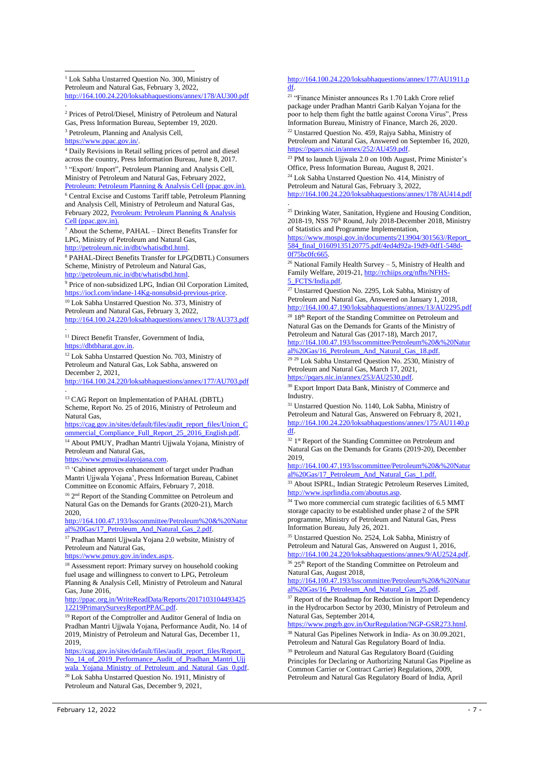<sup>1</sup> Lok Sabha Unstarred Question No. 300, Ministry of Petroleum and Natural Gas, February 3, 2022, <http://164.100.24.220/loksabhaquestions/annex/178/AU300.pdf>

<sup>2</sup> Prices of Petrol/Diesel, Ministry of Petroleum and Natural Gas, Press Information Bureau, September 19, 2020.

<sup>3</sup> Petroleum, Planning and Analysis Cell,

https://www.ppac.gov

.

-

<sup>4</sup> Daily Revisions in Retail selling prices of petrol and diesel across the country, Press Information Bureau, June 8, 2017. <sup>5</sup> "Export/ Import", Petroleum Planning and Analysis Cell,

Ministry of Petroleum and Natural Gas, February 2022, [Petroleum: Petroleum Planning & Analysis Cell \(ppac.gov.in\).](https://www.ppac.gov.in/content/3_1_Petroleum.aspx)

<sup>6</sup> Central Excise and Customs Tariff table, Petroleum Planning and Analysis Cell, Ministry of Petroleum and Natural Gas, February 2022, [Petroleum: Petroleum Planning & Analysis](https://www.ppac.gov.in/content/3_1_Petroleum.aspx)  [Cell \(ppac.gov.in\).](https://www.ppac.gov.in/content/3_1_Petroleum.aspx)

<sup>7</sup> About the Scheme, PAHAL – Direct Benefits Transfer for LPG, Ministry of Petroleum and Natural Gas, [http://petroleum.nic.in/dbt/whatisdbtl.html.](http://petroleum.nic.in/dbt/whatisdbtl.html)

<sup>8</sup> PAHAL-Direct Benefits Transfer for LPG(DBTL) Consumers Scheme, Ministry of Petroleum and Natural Gas, [http://petroleum.nic.in/dbt/whatisdbtl.html.](http://petroleum.nic.in/dbt/whatisdbtl.html)

<sup>9</sup> Price of non-subsidized LPG, Indian Oil Corporation Limited, https://iocl.com/indane-14Kg-nonsubsid-previous-

<sup>10</sup> Lok Sabha Unstarred Question No. 373, Ministry of Petroleum and Natural Gas, February 3, 2022, <http://164.100.24.220/loksabhaquestions/annex/178/AU373.pdf>

.  $^{\rm 11}$  Direct Benefit Transfer, Government of India, [https://dbtbharat.gov.in.](https://dbtbharat.gov.in/page/frontcontentview/?id=ODM=)

<sup>12</sup> Lok Sabha Unstarred Question No. 703, Ministry of Petroleum and Natural Gas, Lok Sabha, answered on December 2, 2021,

<http://164.100.24.220/loksabhaquestions/annex/177/AU703.pdf> .

<sup>13</sup> CAG Report on Implementation of PAHAL (DBTL) Scheme, Report No. 25 of 2016, Ministry of Petroleum and Natural Gas,

[https://cag.gov.in/sites/default/files/audit\\_report\\_files/Union\\_C](https://cag.gov.in/sites/default/files/audit_report_files/Union_Commercial_Compliance_Full_Report_25_2016_English.pdf) [ommercial\\_Compliance\\_Full\\_Report\\_25\\_2016\\_English.pdf.](https://cag.gov.in/sites/default/files/audit_report_files/Union_Commercial_Compliance_Full_Report_25_2016_English.pdf)

<sup>14</sup> About PMUY, Pradhan Mantri Ujjwala Yojana, Ministry of Petroleum and Natural Gas,

https://www.pmujiwalayojana.com

<sup>15</sup> 'Cabinet approves enhancement of target under Pradhan Mantri Ujjwala Yojana', Press Information Bureau, Cabinet Committee on Economic Affairs, February 7, 2018.

<sup>16</sup> 2<sup>nd</sup> Report of the Standing Committee on Petroleum and Natural Gas on the Demands for Grants (2020-21), March 2020,

[http://164.100.47.193/lsscommittee/Petroleum%20&%20Natur](http://164.100.47.193/lsscommittee/Petroleum%20&%20Natural%20Gas/17_Petroleum_And_Natural_Gas_2.pdf) [al%20Gas/17\\_Petroleum\\_And\\_Natural\\_Gas\\_2.pdf.](http://164.100.47.193/lsscommittee/Petroleum%20&%20Natural%20Gas/17_Petroleum_And_Natural_Gas_2.pdf)

<sup>17</sup> Pradhan Mantri Ujjwala Yojana 2.0 website, Ministry of Petroleum and Natural Gas,

[https://www.pmuy.gov.in/index.aspx.](https://www.pmuy.gov.in/index.aspx) 

<sup>18</sup> Assessment report: Primary survey on household cooking fuel usage and willingness to convert to LPG, Petroleum Planning & Analysis Cell, Ministry of Petroleum and Natural Gas, June 2016,

[http://ppac.org.in/WriteReadData/Reports/2017103104493425](http://ppac.org.in/WriteReadData/Reports/201710310449342512219PrimarySurveyReportPPAC.pdf) [12219PrimarySurveyReportPPAC.pdf.](http://ppac.org.in/WriteReadData/Reports/201710310449342512219PrimarySurveyReportPPAC.pdf)

<sup>19</sup> Report of the Comptroller and Auditor General of India on Pradhan Mantri Ujjwala Yojana, Performance Audit, No. 14 of 2019, Ministry of Petroleum and Natural Gas, December 11, 2019,

[https://cag.gov.in/sites/default/files/audit\\_report\\_files/Report\\_](https://cag.gov.in/sites/default/files/audit_report_files/Report_No_14_of_2019_Performance_Audit_of_Pradhan_Mantri_Ujjwala_Yojana_Ministry_of_Petroleum_and_Natural_Gas_0.pdf) [No\\_14\\_of\\_2019\\_Performance\\_Audit\\_of\\_Pradhan\\_Mantri\\_Ujj](https://cag.gov.in/sites/default/files/audit_report_files/Report_No_14_of_2019_Performance_Audit_of_Pradhan_Mantri_Ujjwala_Yojana_Ministry_of_Petroleum_and_Natural_Gas_0.pdf) wala Yojana Ministry of Petroleum and Natural Gas 0.pdf.

 $20$  Lok Sabha Unstarred Question No. 1911, Ministry of Petroleum and Natural Gas, December 9, 2021,

#### [http://164.100.24.220/loksabhaquestions/annex/177/AU1911.p](http://164.100.24.220/loksabhaquestions/annex/177/AU1911.pdf) [df.](http://164.100.24.220/loksabhaquestions/annex/177/AU1911.pdf)

<sup>21</sup> "Finance Minister announces Rs 1.70 Lakh Crore relief package under Pradhan Mantri Garib Kalyan Yojana for the poor to help them fight the battle against Corona Virus", Press Information Bureau, Ministry of Finance, March 26, 2020. <sup>22</sup> Unstarred Question No. 459, Rajya Sabha, Ministry of Petroleum and Natural Gas, Answered on September 16, 2020,

[https://pqars.nic.in/annex/252/AU459.pdf.](https://pqars.nic.in/annex/252/AU459.pdf)  <sup>23</sup> PM to launch Ujjwala 2.0 on 10th August, Prime Minister's Office, Press Information Bureau, August 8, 2021.

<sup>24</sup> Lok Sabha Unstarred Question No. 414, Ministry of Petroleum and Natural Gas, February 3, 2022, <http://164.100.24.220/loksabhaquestions/annex/178/AU414.pdf> .

<sup>25</sup> Drinking Water, Sanitation, Hygiene and Housing Condition, 2018-19, NSS 76th Round, July 2018-December 2018, Ministry of Statistics and Programme Implementation,

[https://www.mospi.gov.in/documents/213904/301563//Report\\_](https://www.mospi.gov.in/documents/213904/301563/Report_584_final_01609135120775.pdf/4ed4d92a-19d9-0df1-548d-0f75bc0fc665) [584\\_final\\_01609135120775.pdf/4ed4d92a-19d9-0df1-548d-](https://www.mospi.gov.in/documents/213904/301563/Report_584_final_01609135120775.pdf/4ed4d92a-19d9-0df1-548d-0f75bc0fc665)0f75bc0fc665.

 $^{26}$  National Family Health Survey – 5, Ministry of Health and Family Welfare, 2019-21[, http://rchiips.org/nfhs/NFHS-](http://rchiips.org/nfhs/NFHS-5_FCTS/India.pdf)[5\\_FCTS/India.pdf.](http://rchiips.org/nfhs/NFHS-5_FCTS/India.pdf) 

<sup>27</sup> Unstarred Question No. 2295, Lok Sabha, Ministry of Petroleum and Natural Gas, Answered on January 1, 2018, <http://164.100.47.190/loksabhaquestions/annex/13/AU2295.pdf>

<sup>28</sup> 18<sup>th</sup> Report of the Standing Committee on Petroleum and Natural Gas on the Demands for Grants of the Ministry of Petroleum and Natural Gas (2017-18), March 2017,

[http://164.100.47.193/lsscommittee/Petroleum%20&%20Natur](http://164.100.47.193/lsscommittee/Petroleum%20&%20Natural%20Gas/16_Petroleum_And_Natural_Gas_18.pdf) [al%20Gas/16\\_Petroleum\\_And\\_Natural\\_Gas\\_18.pdf.](http://164.100.47.193/lsscommittee/Petroleum%20&%20Natural%20Gas/16_Petroleum_And_Natural_Gas_18.pdf)

<sup>29</sup> <sup>29</sup> Lok Sabha Unstarred Question No. 2530, Ministry of Petroleum and Natural Gas, March 17, 2021, [https://pqars.nic.in/annex/253/AU2530.pdf.](https://pqars.nic.in/annex/253/AU2530.pdf)

<sup>30</sup> Export Import Data Bank, Ministry of Commerce and Industry.

<sup>31</sup> Unstarred Question No. 1140, Lok Sabha, Ministry of Petroleum and Natural Gas, Answered on February 8, 2021, [http://164.100.24.220/loksabhaquestions/annex/175/AU1140.p](http://164.100.24.220/loksabhaquestions/annex/175/AU1140.pdf) [df.](http://164.100.24.220/loksabhaquestions/annex/175/AU1140.pdf) 

<sup>32</sup> 1<sup>st</sup> Report of the Standing Committee on Petroleum and Natural Gas on the Demands for Grants (2019-20), December 2019,

[http://164.100.47.193/lsscommittee/Petroleum%20&%20Natur](http://164.100.47.193/lsscommittee/Petroleum%20&%20Natural%20Gas/17_Petroleum_And_Natural_Gas_1.pdf) [al%20Gas/17\\_Petroleum\\_And\\_Natural\\_Gas\\_1.pdf.](http://164.100.47.193/lsscommittee/Petroleum%20&%20Natural%20Gas/17_Petroleum_And_Natural_Gas_1.pdf)

<sup>33</sup> About ISPRL, Indian Strategic Petroleum Reserves Limited, [http://www.isprlindia.com/aboutus.asp.](http://www.isprlindia.com/aboutus.asp)

<sup>34</sup> Two more commercial cum strategic facilities of 6.5 MMT storage capacity to be established under phase 2 of the SPR programme, Ministry of Petroleum and Natural Gas, Press Information Bureau, July 26, 2021.

<sup>35</sup> Unstarred Question No. 2524, Lok Sabha, Ministry of Petroleum and Natural Gas, Answered on August 1, 2016, [http://164.100.24.220/loksabhaquestions/annex/9/AU2524.pdf.](http://164.100.24.220/loksabhaquestions/annex/9/AU2524.pdf)

<sup>36</sup> 25<sup>th</sup> Report of the Standing Committee on Petroleum and Natural Gas, August 2018,

[http://164.100.47.193/lsscommittee/Petroleum%20&%20Natur](http://164.100.47.193/lsscommittee/Petroleum%20&%20Natural%20Gas/16_Petroleum_And_Natural_Gas_25.pdf) [al%20Gas/16\\_Petroleum\\_And\\_Natural\\_Gas\\_25.pdf.](http://164.100.47.193/lsscommittee/Petroleum%20&%20Natural%20Gas/16_Petroleum_And_Natural_Gas_25.pdf)

<sup>37</sup> Report of the Roadmap for Reduction in Import Dependency in the Hydrocarbon Sector by 2030, Ministry of Petroleum and Natural Gas, September 2014,

[https://www.pngrb.gov.in/OurRegulation/NGP-GSR273.html.](https://www.pngrb.gov.in/OurRegulation/NGP-GSR273.html)  <sup>38</sup> Natural Gas Pipelines Network in India- As on 30.09.2021, Petroleum and Natural Gas Regulatory Board of India.

<sup>39</sup> Petroleum and Natural Gas Regulatory Board (Guiding Principles for Declaring or Authorizing Natural Gas Pipeline as Common Carrier or Contract Carrier) Regulations, 2009, Petroleum and Natural Gas Regulatory Board of India, April